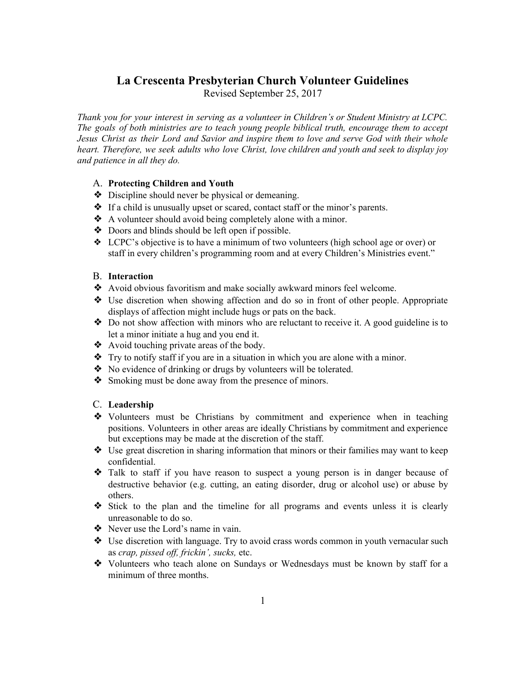# **La Crescenta Presbyterian Church Volunteer Guidelines**

Revised September 25, 2017

*Thank you for your interest in serving as a volunteer in Children's or Student Ministry at LCPC. The goals of both ministries are to teach young people biblical truth, encourage them to accept Jesus Christ as their Lord and Savior and inspire them to love and serve God with their whole heart. Therefore, we seek adults who love Christ, love children and youth and seek to display joy and patience in all they do.*

## A. **Protecting Children and Youth**

- ❖ Discipline should never be physical or demeaning.
- ❖ If a child is unusually upset or scared, contact staff or the minor's parents.
- ❖ A volunteer should avoid being completely alone with a minor.
- ❖ Doors and blinds should be left open if possible.
- ❖ LCPC's objective is to have a minimum of two volunteers (high school age or over) or staff in every children's programming room and at every Children's Ministries event."

## B. **Interaction**

- ❖ Avoid obvious favoritism and make socially awkward minors feel welcome.
- ❖ Use discretion when showing affection and do so in front of other people. Appropriate displays of affection might include hugs or pats on the back.
- ❖ Do not show affection with minors who are reluctant to receive it. A good guideline is to let a minor initiate a hug and you end it.
- ❖ Avoid touching private areas of the body.
- ❖ Try to notify staff if you are in a situation in which you are alone with a minor.
- ❖ No evidence of drinking or drugs by volunteers will be tolerated.
- ❖ Smoking must be done away from the presence of minors.

#### C. **Leadership**

- ❖ Volunteers must be Christians by commitment and experience when in teaching positions. Volunteers in other areas are ideally Christians by commitment and experience but exceptions may be made at the discretion of the staff.
- ❖ Use great discretion in sharing information that minors or their families may want to keep confidential.
- ❖ Talk to staff if you have reason to suspect a young person is in danger because of destructive behavior (e.g. cutting, an eating disorder, drug or alcohol use) or abuse by others.
- ❖ Stick to the plan and the timeline for all programs and events unless it is clearly unreasonable to do so.
- ❖ Never use the Lord's name in vain.
- ❖ Use discretion with language. Try to avoid crass words common in youth vernacular such as *crap, pissed of , frickin', sucks,* etc.
- ❖ Volunteers who teach alone on Sundays or Wednesdays must be known by staff for a minimum of three months.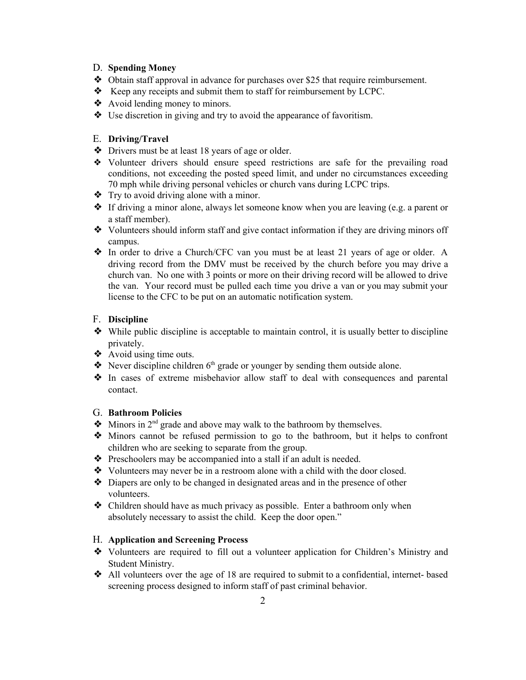#### D. **Spending Money**

- ❖ Obtain staff approval in advance for purchases over \$25 that require reimbursement.
- ❖ Keep any receipts and submit them to staff for reimbursement by LCPC.
- ❖ Avoid lending money to minors.
- ❖ Use discretion in giving and try to avoid the appearance of favoritism.

# E. **Driving/Travel**

- ❖ Drivers must be at least 18 years of age or older.
- ❖ Volunteer drivers should ensure speed restrictions are safe for the prevailing road conditions, not exceeding the posted speed limit, and under no circumstances exceeding 70 mph while driving personal vehicles or church vans during LCPC trips.
- ❖ Try to avoid driving alone with a minor.
- ❖ If driving a minor alone, always let someone know when you are leaving (e.g. a parent or a staff member).
- ❖ Volunteers should inform staff and give contact information if they are driving minors off campus.
- ❖ In order to drive a Church/CFC van you must be at least 21 years of age or older. A driving record from the DMV must be received by the church before you may drive a church van. No one with 3 points or more on their driving record will be allowed to drive the van. Your record must be pulled each time you drive a van or you may submit your license to the CFC to be put on an automatic notification system.

## F. **Discipline**

- ❖ While public discipline is acceptable to maintain control, it is usually better to discipline privately.
- $\triangleleft$  Avoid using time outs.
- $\triangleleft$  Never discipline children  $6<sup>th</sup>$  grade or younger by sending them outside alone.
- ❖ In cases of extreme misbehavior allow staff to deal with consequences and parental contact.

## G. **Bathroom Policies**

- $\triangleleft$  Minors in 2<sup>nd</sup> grade and above may walk to the bathroom by themselves.
- ❖ Minors cannot be refused permission to go to the bathroom, but it helps to confront children who are seeking to separate from the group.
- ❖ Preschoolers may be accompanied into a stall if an adult is needed.
- ❖ Volunteers may never be in a restroom alone with a child with the door closed.
- ❖ Diapers are only to be changed in designated areas and in the presence of other volunteers.
- ❖ Children should have as much privacy as possible. Enter a bathroom only when absolutely necessary to assist the child. Keep the door open."

## H. **Application and Screening Process**

- ❖ Volunteers are required to fill out a volunteer application for Children's Ministry and Student Ministry.
- ❖ All volunteers over the age of 18 are required to submit to a confidential, internet- based screening process designed to inform staff of past criminal behavior.